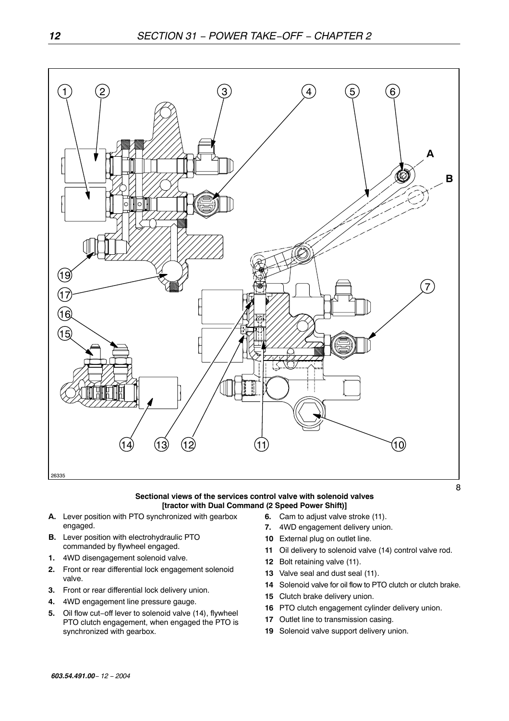

#### **Sectional views of the services control valve with solenoid valves [tractor with Dual Command (2 Speed Power Shift)]**

- **A.** Lever position with PTO synchronized with gearbox engaged.
- **B.** Lever position with electrohydraulic PTO commanded by flywheel engaged.
- **1.** 4WD disengagement solenoid valve.
- **2.** Front or rear differential lock engagement solenoid valve.
- **3.** Front or rear differential lock delivery union.
- **4.** 4WD engagement line pressure gauge.
- **5.** Oil flow cut−off lever to solenoid valve (14), flywheel PTO clutch engagement, when engaged the PTO is synchronized with gearbox.
- **6.** Cam to adjust valve stroke (11).
	- **7.** 4WD engagement delivery union.
	- **10** External plug on outlet line.
	- **11** Oil delivery to solenoid valve (14) control valve rod.
	- **12** Bolt retaining valve (11).
	- **13** Valve seal and dust seal (11).
	- **14** Solenoid valve for oil flow to PTO clutch or clutch brake.
- **15** Clutch brake delivery union.
- **16** PTO clutch engagement cylinder delivery union.
- **17** Outlet line to transmission casing.
- **19** Solenoid valve support delivery union.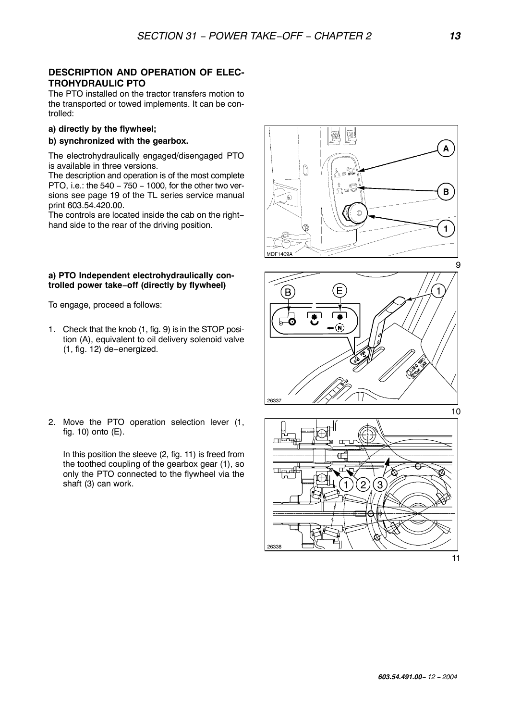# **DESCRIPTION AND OPERATION OF ELEC-TROHYDRAULIC PTO**

The PTO installed on the tractor transfers motion to the transported or towed implements. It can be controlled:

# **a) directly by the flywheel;**

# **b) synchronized with the gearbox.**

The electrohydraulically engaged/disengaged PTO is available in three versions.

The description and operation is of the most complete PTO, i.e.: the 540 − 750 − 1000, for the other two versions see page 19 of the TL series service manual print 603.54.420.00.

The controls are located inside the cab on the right− hand side to the rear of the driving position.

# **a) PTO Independent electrohydraulically controlled power take**−**off (directly by flywheel)**

To engage, proceed a follows:

- 1. Check that the knob (1, fig. 9) is in the STOP position (A), equivalent to oil delivery solenoid valve (1, fig. 12) de−energized.
- 2. Move the PTO operation selection lever (1, fig. 10) onto (E).

In this position the sleeve (2, fig. 11) is freed from the toothed coupling of the gearbox gear (1), so only the PTO connected to the flywheel via the shaft (3) can work.

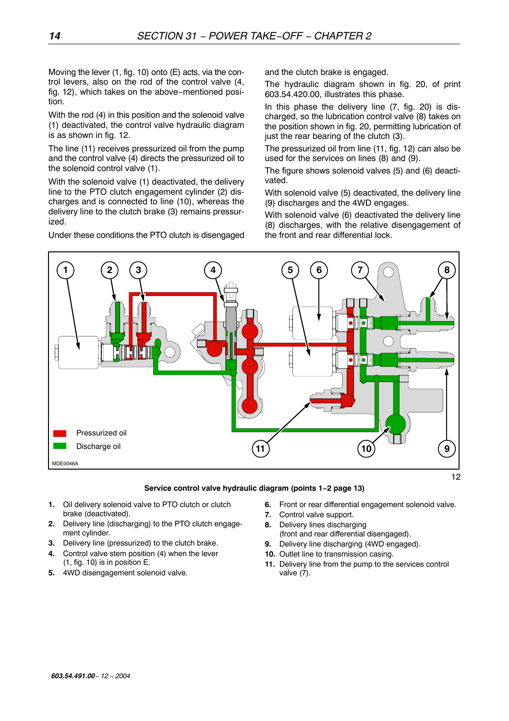Moving the lever (1, fig. 10) onto (E) acts, via the control levers, also on the rod of the control valve (4, fig. 12), which takes on the above−mentioned position.

With the rod (4) in this position and the solenoid valve (1) deactivated, the control valve hydraulic diagram is as shown in fig. 12.

The line (11) receives pressurized oil from the pump and the control valve (4) directs the pressurized oil to the solenoid control valve (1).

With the solenoid valve (1) deactivated, the delivery line to the PTO clutch engagement cylinder (2) discharges and is connected to line (10), whereas the delivery line to the clutch brake (3) remains pressurized.

Under these conditions the PTO clutch is disengaged

and the clutch brake is engaged.

The hydraulic diagram shown in fig. 20, of print 603.54.420.00, illustrates this phase.

In this phase the delivery line (7, fig. 20) is discharged, so the lubrication control valve (8) takes on the position shown in fig. 20, permitting lubrication of just the rear bearing of the clutch (3).

The pressurized oil from line (11, fig. 12) can also be used for the services on lines (8) and (9).

The figure shows solenoid valves (5) and (6) deactivated.

With solenoid valve (5) deactivated, the delivery line (9) discharges and the 4WD engages.

With solenoid valve (6) deactivated the delivery line (8) discharges, with the relative disengagement of the front and rear differential lock.



### **Service control valve hydraulic diagram (points 1**−**2 page 13)**

- **1.** Oil delivery solenoid valve to PTO clutch or clutch brake (deactivated).
- **2.** Delivery line (discharging) to the PTO clutch engagement cylinder.
- **3.** Delivery line (pressurized) to the clutch brake.
- **4.** Control valve stem position (4) when the lever (1, fig. 10) is in position E.
- **5.** 4WD disengagement solenoid valve.
- **6.** Front or rear differential engagement solenoid valve.
- **7.** Control valve support.
- **8.** Delivery lines discharging (front and rear differential disengaged).
- **9.** Delivery line discharging (4WD engaged).
- **10.** Outlet line to transmission casing.
- **11.** Delivery line from the pump to the services control valve (7).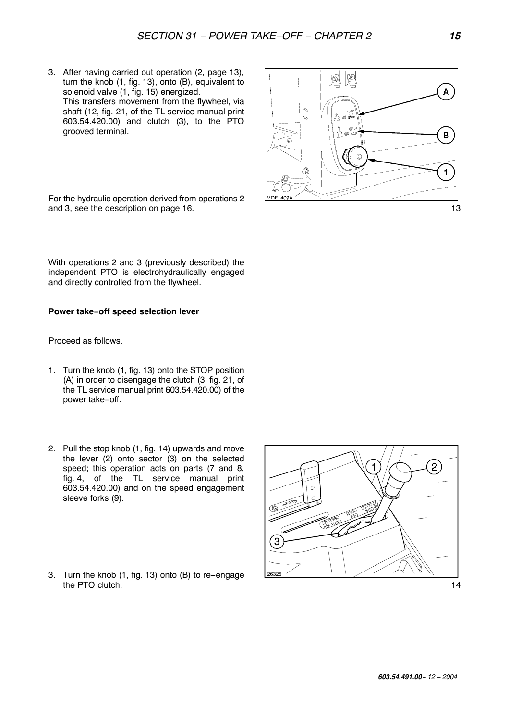3. After having carried out operation (2, page 13), turn the knob (1, fig. 13), onto (B), equivalent to solenoid valve (1, fig. 15) energized. This transfers movement from the flywheel, via shaft (12, fig. 21, of the TL service manual print 603.54.420.00) and clutch (3), to the PTO grooved terminal.

For the hydraulic operation derived from operations 2

With operations 2 and 3 (previously described) the independent PTO is electrohydraulically engaged and directly controlled from the flywheel.

#### **Power take**−**off speed selection lever**

Proceed as follows.

- 1. Turn the knob (1, fig. 13) onto the STOP position (A) in order to disengage the clutch (3, fig. 21, of the TL service manual print 603.54.420.00) of the power take−off.
- 2. Pull the stop knob (1, fig. 14) upwards and move the lever (2) onto sector (3) on the selected speed; this operation acts on parts (7 and 8, fig. 4, of the TL service manual print 603.54.420.00) and on the speed engagement sleeve forks (9).
- 3. Turn the knob (1, fig. 13) onto (B) to re−engage the PTO clutch.